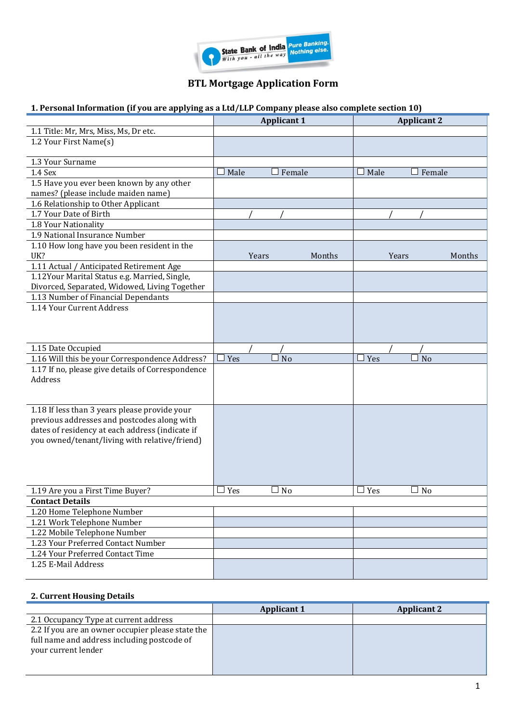

# **BTL Mortgage Application Form**

## **1. Personal Information (if you are applying as a Ltd/LLP Company please also complete section 10)**

|                                                   | <b>Applicant 1</b>    |        |               | <b>Applicant 2</b> |
|---------------------------------------------------|-----------------------|--------|---------------|--------------------|
| 1.1 Title: Mr, Mrs, Miss, Ms, Dr etc.             |                       |        |               |                    |
| 1.2 Your First Name(s)                            |                       |        |               |                    |
| 1.3 Your Surname                                  |                       |        |               |                    |
| 1.4 Sex                                           | Male<br>Female        |        | Male          | Female             |
| 1.5 Have you ever been known by any other         |                       |        |               |                    |
| names? (please include maiden name)               |                       |        |               |                    |
| 1.6 Relationship to Other Applicant               |                       |        |               |                    |
| 1.7 Your Date of Birth                            |                       |        |               |                    |
| 1.8 Your Nationality                              |                       |        |               |                    |
| 1.9 National Insurance Number                     |                       |        |               |                    |
| 1.10 How long have you been resident in the       |                       |        |               |                    |
| UK?                                               | Years                 | Months | Years         | Months             |
| 1.11 Actual / Anticipated Retirement Age          |                       |        |               |                    |
| 1.12Your Marital Status e.g. Married, Single,     |                       |        |               |                    |
| Divorced, Separated, Widowed, Living Together     |                       |        |               |                    |
| 1.13 Number of Financial Dependants               |                       |        |               |                    |
| 1.14 Your Current Address                         |                       |        |               |                    |
|                                                   |                       |        |               |                    |
|                                                   |                       |        |               |                    |
|                                                   |                       |        |               |                    |
| 1.15 Date Occupied                                |                       |        |               |                    |
| 1.16 Will this be your Correspondence Address?    | Yes<br>N <sub>o</sub> |        | $\exists$ Yes | N <sub>o</sub>     |
| 1.17 If no, please give details of Correspondence |                       |        |               |                    |
| Address                                           |                       |        |               |                    |
|                                                   |                       |        |               |                    |
| 1.18 If less than 3 years please provide your     |                       |        |               |                    |
| previous addresses and postcodes along with       |                       |        |               |                    |
| dates of residency at each address (indicate if   |                       |        |               |                    |
| you owned/tenant/living with relative/friend)     |                       |        |               |                    |
|                                                   |                       |        |               |                    |
|                                                   |                       |        |               |                    |
|                                                   |                       |        |               |                    |
|                                                   |                       |        |               |                    |
| 1.19 Are you a First Time Buyer?                  | No<br>Yes             |        | Yes           | N <sub>o</sub>     |
| <b>Contact Details</b>                            |                       |        |               |                    |
| 1.20 Home Telephone Number                        |                       |        |               |                    |
| 1.21 Work Telephone Number                        |                       |        |               |                    |
| 1.22 Mobile Telephone Number                      |                       |        |               |                    |
| 1.23 Your Preferred Contact Number                |                       |        |               |                    |
| 1.24 Your Preferred Contact Time                  |                       |        |               |                    |
| 1.25 E-Mail Address                               |                       |        |               |                    |
|                                                   |                       |        |               |                    |

### **2. Current Housing Details**

|                                                                                                                         | <b>Applicant 1</b> | <b>Applicant 2</b> |
|-------------------------------------------------------------------------------------------------------------------------|--------------------|--------------------|
| 2.1 Occupancy Type at current address                                                                                   |                    |                    |
| 2.2 If you are an owner occupier please state the<br>full name and address including postcode of<br>your current lender |                    |                    |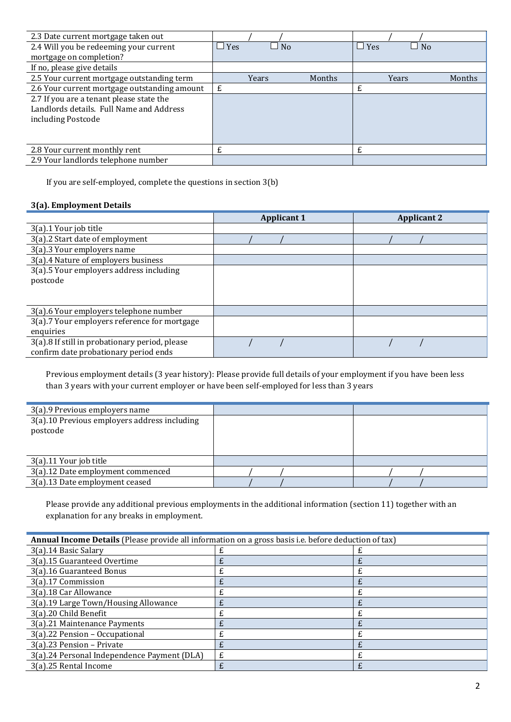| 2.3 Date current mortgage taken out          |            |                    |        |            |           |        |
|----------------------------------------------|------------|--------------------|--------|------------|-----------|--------|
| 2.4 Will you be redeeming your current       | $\Box$ Yes | No<br>$\mathbf{I}$ |        | $\Box$ Yes | $\Box$ No |        |
| mortgage on completion?                      |            |                    |        |            |           |        |
| If no, please give details                   |            |                    |        |            |           |        |
| 2.5 Your current mortgage outstanding term   |            | Years              | Months |            | Years     | Months |
| 2.6 Your current mortgage outstanding amount | £          |                    |        | £          |           |        |
| 2.7 If you are a tenant please state the     |            |                    |        |            |           |        |
| Landlords details. Full Name and Address     |            |                    |        |            |           |        |
| including Postcode                           |            |                    |        |            |           |        |
|                                              |            |                    |        |            |           |        |
|                                              |            |                    |        |            |           |        |
| 2.8 Your current monthly rent                |            |                    |        | £          |           |        |
| 2.9 Your landlords telephone number          |            |                    |        |            |           |        |

If you are self-employed, complete the questions in section 3(b)

### **3(a). Employment Details**

|                                                | <b>Applicant 1</b> | <b>Applicant 2</b> |
|------------------------------------------------|--------------------|--------------------|
| 3(a).1 Your job title                          |                    |                    |
| 3(a).2 Start date of employment                |                    |                    |
| 3(a).3 Your employers name                     |                    |                    |
| 3(a).4 Nature of employers business            |                    |                    |
| 3(a).5 Your employers address including        |                    |                    |
| postcode                                       |                    |                    |
|                                                |                    |                    |
|                                                |                    |                    |
| 3(a).6 Your employers telephone number         |                    |                    |
| 3(a).7 Your employers reference for mortgage   |                    |                    |
| enquiries                                      |                    |                    |
| 3(a).8 If still in probationary period, please |                    |                    |
| confirm date probationary period ends          |                    |                    |

Previous employment details (3 year history): Please provide full details of your employment if you have been less than 3 years with your current employer or have been self-employed for less than 3 years

| 3(a).9 Previous employers name                           |  |
|----------------------------------------------------------|--|
| 3(a).10 Previous employers address including<br>postcode |  |
| 3(a).11 Your job title                                   |  |
| 3(a).12 Date employment commenced                        |  |
| 3(a).13 Date employment ceased                           |  |

Please provide any additional previous employments in the additional information (section 11) together with an explanation for any breaks in employment.

| Annual Income Details (Please provide all information on a gross basis i.e. before deduction of tax) |   |   |
|------------------------------------------------------------------------------------------------------|---|---|
| 3(a).14 Basic Salary                                                                                 |   |   |
| 3(a).15 Guaranteed Overtime                                                                          | £ |   |
| 3(a).16 Guaranteed Bonus                                                                             | £ | £ |
| 3(a).17 Commission                                                                                   |   |   |
| 3(a).18 Car Allowance                                                                                |   | £ |
| 3(a).19 Large Town/Housing Allowance                                                                 | £ |   |
| 3(a).20 Child Benefit                                                                                |   | £ |
| 3(a).21 Maintenance Payments                                                                         |   |   |
| 3(a).22 Pension - Occupational                                                                       | £ | £ |
| 3(a).23 Pension - Private                                                                            |   |   |
| 3(a).24 Personal Independence Payment (DLA)                                                          | £ | £ |
| 3(a).25 Rental Income                                                                                |   |   |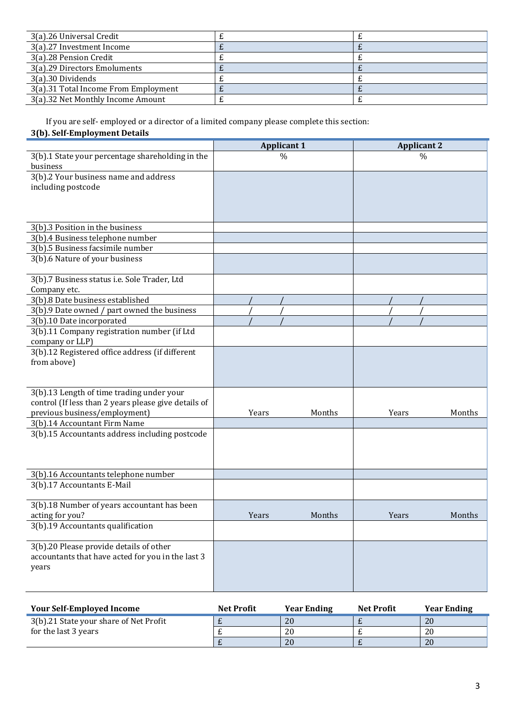| 3(a).26 Universal Credit             |  |
|--------------------------------------|--|
| 3(a).27 Investment Income            |  |
| 3(a).28 Pension Credit               |  |
| 3(a).29 Directors Emoluments         |  |
| 3(a).30 Dividends                    |  |
| 3(a).31 Total Income From Employment |  |
| 3(a).32 Net Monthly Income Amount    |  |

If you are self- employed or a director of a limited company please complete this section:

### **3(b). Self-Employment Details**

|                                                      | <b>Applicant 1</b> |        |       | <b>Applicant 2</b> |
|------------------------------------------------------|--------------------|--------|-------|--------------------|
| 3(b).1 State your percentage shareholding in the     | $\frac{0}{0}$      |        |       | $\frac{0}{0}$      |
| business                                             |                    |        |       |                    |
| $3(b).2$ Your business name and address              |                    |        |       |                    |
| including postcode                                   |                    |        |       |                    |
|                                                      |                    |        |       |                    |
|                                                      |                    |        |       |                    |
|                                                      |                    |        |       |                    |
| 3(b).3 Position in the business                      |                    |        |       |                    |
| 3(b).4 Business telephone number                     |                    |        |       |                    |
| 3(b).5 Business facsimile number                     |                    |        |       |                    |
| 3(b).6 Nature of your business                       |                    |        |       |                    |
|                                                      |                    |        |       |                    |
| 3(b).7 Business status i.e. Sole Trader, Ltd         |                    |        |       |                    |
| Company etc.                                         |                    |        |       |                    |
| 3(b).8 Date business established                     |                    |        |       |                    |
| 3(b).9 Date owned / part owned the business          |                    |        |       |                    |
| 3(b).10 Date incorporated                            |                    |        |       |                    |
| 3(b).11 Company registration number (if Ltd          |                    |        |       |                    |
| company or LLP)                                      |                    |        |       |                    |
| 3(b).12 Registered office address (if different      |                    |        |       |                    |
| from above)                                          |                    |        |       |                    |
|                                                      |                    |        |       |                    |
|                                                      |                    |        |       |                    |
| 3(b).13 Length of time trading under your            |                    |        |       |                    |
| control (If less than 2 years please give details of |                    |        |       |                    |
| previous business/employment)                        | Years              | Months | Years | Months             |
| 3(b).14 Accountant Firm Name                         |                    |        |       |                    |
| 3(b).15 Accountants address including postcode       |                    |        |       |                    |
|                                                      |                    |        |       |                    |
|                                                      |                    |        |       |                    |
|                                                      |                    |        |       |                    |
| 3(b).16 Accountants telephone number                 |                    |        |       |                    |
| 3(b).17 Accountants E-Mail                           |                    |        |       |                    |
|                                                      |                    |        |       |                    |
| 3(b).18 Number of years accountant has been          |                    |        |       |                    |
| acting for you?                                      | Years              | Months | Years | Months             |
| 3(b).19 Accountants qualification                    |                    |        |       |                    |
|                                                      |                    |        |       |                    |
| 3(b).20 Please provide details of other              |                    |        |       |                    |
| accountants that have acted for you in the last 3    |                    |        |       |                    |
| years                                                |                    |        |       |                    |
|                                                      |                    |        |       |                    |
|                                                      |                    |        |       |                    |

| <b>Your Self-Employed Income</b>       | <b>Net Profit</b> | <b>Year Ending</b> | <b>Net Profit</b> | <b>Year Ending</b> |
|----------------------------------------|-------------------|--------------------|-------------------|--------------------|
| 3(b).21 State your share of Net Profit |                   | 20                 |                   | 20                 |
| for the last 3 years                   |                   | 20                 |                   | 20                 |
|                                        |                   | 20                 |                   | 20                 |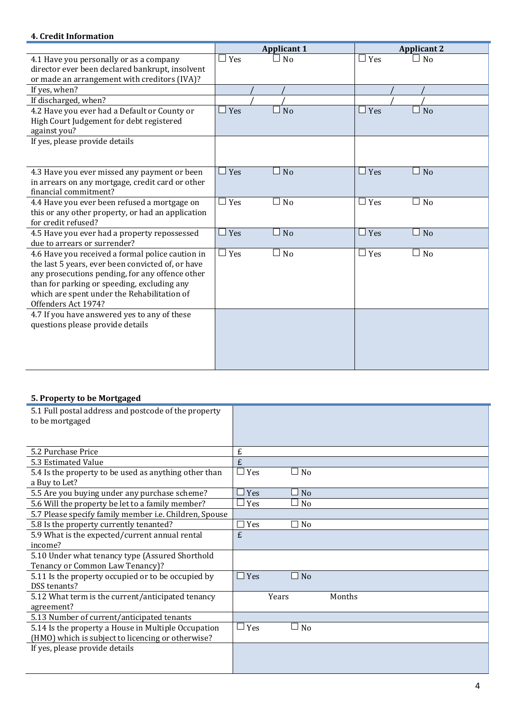### **4. Credit Information**

|                                                   | <b>Applicant 1</b>                                | <b>Applicant 2</b>           |
|---------------------------------------------------|---------------------------------------------------|------------------------------|
| 4.1 Have you personally or as a company           | Yes<br>N <sub>0</sub>                             | $\Box$ Yes<br>$\Box$ No      |
| director ever been declared bankrupt, insolvent   |                                                   |                              |
| or made an arrangement with creditors (IVA)?      |                                                   |                              |
| If yes, when?                                     |                                                   |                              |
| If discharged, when?                              |                                                   |                              |
| 4.2 Have you ever had a Default or County or      | Yes<br>N <sub>o</sub>                             | $\Box$ Yes<br>N <sub>o</sub> |
| High Court Judgement for debt registered          |                                                   |                              |
| against you?                                      |                                                   |                              |
| If yes, please provide details                    |                                                   |                              |
|                                                   |                                                   |                              |
|                                                   |                                                   |                              |
| 4.3 Have you ever missed any payment or been      | Yes<br>N <sub>o</sub>                             | $\Box$ Yes<br>N <sub>o</sub> |
| in arrears on any mortgage, credit card or other  |                                                   |                              |
| financial commitment?                             |                                                   |                              |
| 4.4 Have you ever been refused a mortgage on      | Yes<br>N <sub>o</sub><br>$\overline{\phantom{a}}$ | $\Box$ Yes<br>⊥ No           |
| this or any other property, or had an application |                                                   |                              |
| for credit refused?                               |                                                   |                              |
| 4.5 Have you ever had a property repossessed      | Yes<br><b>No</b>                                  | $\Box$ Yes<br>$\Box$ No      |
| due to arrears or surrender?                      |                                                   |                              |
| 4.6 Have you received a formal police caution in  | Yes<br>No                                         | $\Box$ Yes<br>$\Box$ No      |
| the last 5 years, ever been convicted of, or have |                                                   |                              |
| any prosecutions pending, for any offence other   |                                                   |                              |
| than for parking or speeding, excluding any       |                                                   |                              |
| which are spent under the Rehabilitation of       |                                                   |                              |
| Offenders Act 1974?                               |                                                   |                              |
| 4.7 If you have answered yes to any of these      |                                                   |                              |
| questions please provide details                  |                                                   |                              |
|                                                   |                                                   |                              |
|                                                   |                                                   |                              |
|                                                   |                                                   |                              |
|                                                   |                                                   |                              |

### **5. Property to be Mortgaged**

| 5.1 Full postal address and postcode of the property   |                                       |
|--------------------------------------------------------|---------------------------------------|
| to be mortgaged                                        |                                       |
|                                                        |                                       |
|                                                        |                                       |
| 5.2 Purchase Price                                     | £                                     |
| 5.3 Estimated Value                                    | £                                     |
| 5.4 Is the property to be used as anything other than  | Yes<br>No<br>$\overline{\phantom{a}}$ |
| a Buy to Let?                                          |                                       |
| 5.5 Are you buying under any purchase scheme?          | Yes<br>No                             |
| 5.6 Will the property be let to a family member?       | Yes<br>No                             |
| 5.7 Please specify family member i.e. Children, Spouse |                                       |
| 5.8 Is the property currently tenanted?                | Yes<br>No                             |
| 5.9 What is the expected/current annual rental         | £                                     |
| income?                                                |                                       |
| 5.10 Under what tenancy type (Assured Shorthold        |                                       |
| Tenancy or Common Law Tenancy)?                        |                                       |
| 5.11 Is the property occupied or to be occupied by     | Yes<br>N <sub>o</sub><br>n l          |
| DSS tenants?                                           |                                       |
| 5.12 What term is the current/anticipated tenancy      | Years<br>Months                       |
| agreement?                                             |                                       |
| 5.13 Number of current/anticipated tenants             |                                       |
| 5.14 Is the property a House in Multiple Occupation    | Yes<br>No                             |
| (HMO) which is subject to licencing or otherwise?      |                                       |
| If yes, please provide details                         |                                       |
|                                                        |                                       |
|                                                        |                                       |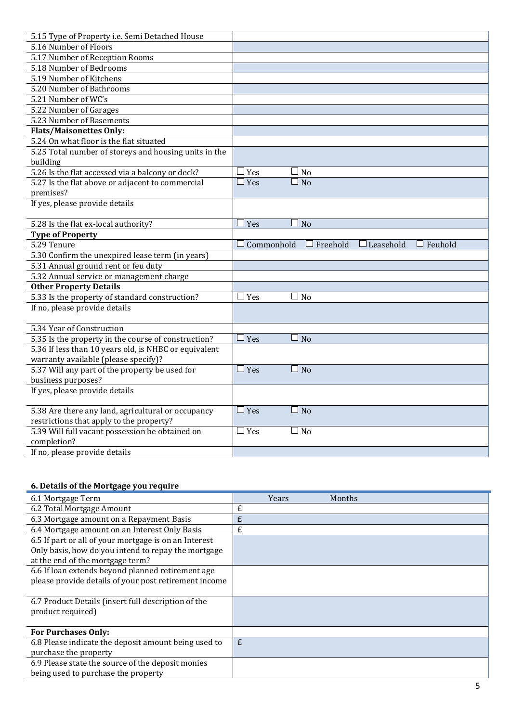| 5.15 Type of Property i.e. Semi Detached House        |                                                     |
|-------------------------------------------------------|-----------------------------------------------------|
| 5.16 Number of Floors                                 |                                                     |
| 5.17 Number of Reception Rooms                        |                                                     |
| 5.18 Number of Bedrooms                               |                                                     |
| 5.19 Number of Kitchens                               |                                                     |
| 5.20 Number of Bathrooms                              |                                                     |
| 5.21 Number of WC's                                   |                                                     |
| 5.22 Number of Garages                                |                                                     |
| 5.23 Number of Basements                              |                                                     |
| <b>Flats/Maisonettes Only:</b>                        |                                                     |
| 5.24 On what floor is the flat situated               |                                                     |
| 5.25 Total number of storeys and housing units in the |                                                     |
| building                                              |                                                     |
| 5.26 Is the flat accessed via a balcony or deck?      | Yes<br>N <sub>o</sub>                               |
| 5.27 Is the flat above or adjacent to commercial      | Yes<br>No                                           |
| premises?                                             |                                                     |
| If yes, please provide details                        |                                                     |
|                                                       |                                                     |
| 5.28 Is the flat ex-local authority?                  | Yes<br>N <sub>o</sub>                               |
| <b>Type of Property</b>                               |                                                     |
| 5.29 Tenure                                           | Freehold<br>Commonhold<br>Leasehold<br>Feuhold      |
| 5.30 Confirm the unexpired lease term (in years)      |                                                     |
| 5.31 Annual ground rent or feu duty                   |                                                     |
| 5.32 Annual service or management charge              |                                                     |
| <b>Other Property Details</b>                         |                                                     |
| 5.33 Is the property of standard construction?        | Yes<br>N <sub>o</sub>                               |
| If no, please provide details                         |                                                     |
|                                                       |                                                     |
| 5.34 Year of Construction                             |                                                     |
| 5.35 Is the property in the course of construction?   | Yes<br>N <sub>o</sub>                               |
| 5.36 If less than 10 years old, is NHBC or equivalent |                                                     |
| warranty available (please specify)?                  |                                                     |
| 5.37 Will any part of the property be used for        | $\Box$ Yes<br><b>No</b><br>$\overline{\phantom{a}}$ |
| business purposes?                                    |                                                     |
| If yes, please provide details                        |                                                     |
| 5.38 Are there any land, agricultural or occupancy    | $\Box$ Yes<br>N <sub>o</sub><br>$\sim$              |
| restrictions that apply to the property?              |                                                     |
| 5.39 Will full vacant possession be obtained on       | Yes<br>No<br>$\Box$                                 |
| completion?                                           |                                                     |
|                                                       |                                                     |
| If no, please provide details                         |                                                     |

# **6. Details of the Mortgage you require**

| 6.1 Mortgage Term                                                                                                                                | Years | Months |
|--------------------------------------------------------------------------------------------------------------------------------------------------|-------|--------|
| 6.2 Total Mortgage Amount                                                                                                                        | £     |        |
| 6.3 Mortgage amount on a Repayment Basis                                                                                                         | £     |        |
| 6.4 Mortgage amount on an Interest Only Basis                                                                                                    | £     |        |
| 6.5 If part or all of your mortgage is on an Interest<br>Only basis, how do you intend to repay the mortgage<br>at the end of the mortgage term? |       |        |
| 6.6 If loan extends beyond planned retirement age                                                                                                |       |        |
| please provide details of your post retirement income                                                                                            |       |        |
| 6.7 Product Details (insert full description of the<br>product required)                                                                         |       |        |
| <b>For Purchases Only:</b>                                                                                                                       |       |        |
| 6.8 Please indicate the deposit amount being used to<br>purchase the property                                                                    | £     |        |
| 6.9 Please state the source of the deposit monies<br>being used to purchase the property                                                         |       |        |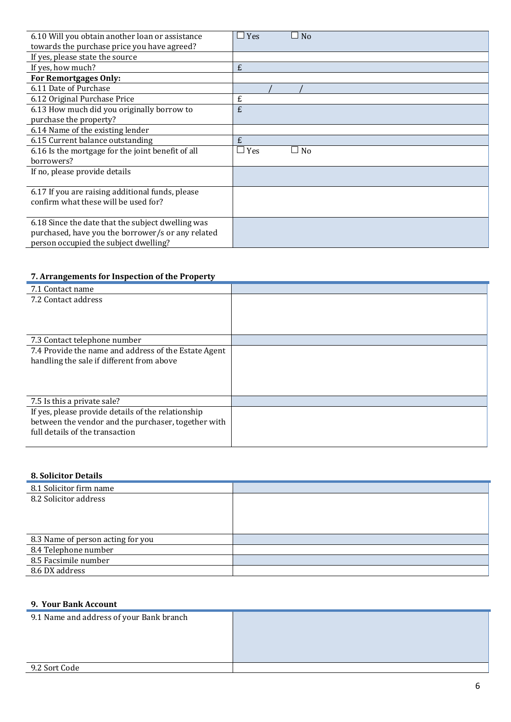| 6.10 Will you obtain another loan or assistance   | Yes<br>N <sub>o</sub> |
|---------------------------------------------------|-----------------------|
| towards the purchase price you have agreed?       |                       |
| If yes, please state the source                   |                       |
| If yes, how much?                                 | £                     |
| <b>For Remortgages Only:</b>                      |                       |
| 6.11 Date of Purchase                             |                       |
| 6.12 Original Purchase Price                      | £                     |
| 6.13 How much did you originally borrow to        | £                     |
| purchase the property?                            |                       |
| 6.14 Name of the existing lender                  |                       |
| 6.15 Current balance outstanding                  | £                     |
| 6.16 Is the mortgage for the joint benefit of all | Yes<br>N <sub>0</sub> |
| borrowers?                                        |                       |
| If no, please provide details                     |                       |
|                                                   |                       |
| 6.17 If you are raising additional funds, please  |                       |
| confirm what these will be used for?              |                       |
|                                                   |                       |
| 6.18 Since the date that the subject dwelling was |                       |
| purchased, have you the borrower/s or any related |                       |
| person occupied the subject dwelling?             |                       |

## **7. Arrangements for Inspection of the Property**

| 7.1 Contact name                                     |  |
|------------------------------------------------------|--|
| 7.2 Contact address                                  |  |
|                                                      |  |
|                                                      |  |
|                                                      |  |
| 7.3 Contact telephone number                         |  |
| 7.4 Provide the name and address of the Estate Agent |  |
| handling the sale if different from above            |  |
|                                                      |  |
|                                                      |  |
|                                                      |  |
| 7.5 Is this a private sale?                          |  |
| If yes, please provide details of the relationship   |  |
| between the vendor and the purchaser, together with  |  |
| full details of the transaction                      |  |
|                                                      |  |

### **8. Solicitor Details**

| 8.1 Solicitor firm name           |  |
|-----------------------------------|--|
| 8.2 Solicitor address             |  |
|                                   |  |
|                                   |  |
|                                   |  |
| 8.3 Name of person acting for you |  |
| 8.4 Telephone number              |  |
| 8.5 Facsimile number              |  |
| 8.6 DX address                    |  |

### **9. Your Bank Account**

| 9.1 Name and address of your Bank branch |  |
|------------------------------------------|--|
|                                          |  |
|                                          |  |
|                                          |  |
|                                          |  |
|                                          |  |
| 9.2 Sort Code                            |  |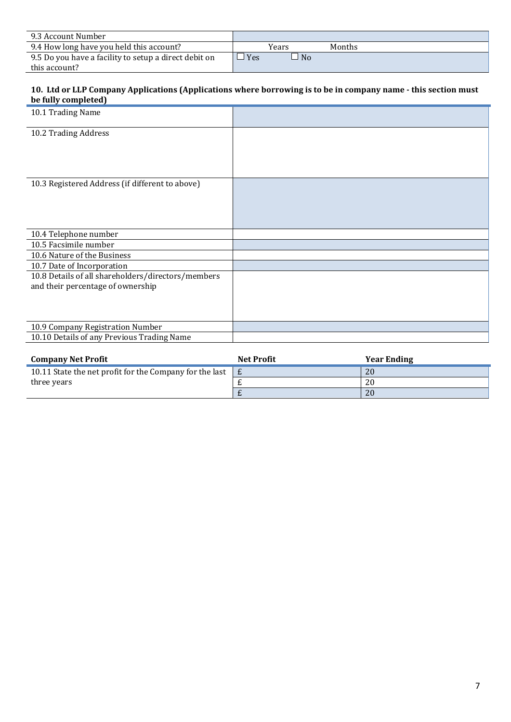| 9.3 Account Number                                    |           |        |
|-------------------------------------------------------|-----------|--------|
| 9.4 How long have you held this account?              | Years     | Months |
| 9.5 Do you have a facility to setup a direct debit on | Yes<br>No |        |
| this account?                                         |           |        |

### **10. Ltd or LLP Company Applications (Applications where borrowing is to be in company name - this section must be fully completed)**

| be runy completeur                                                                      |  |
|-----------------------------------------------------------------------------------------|--|
| 10.1 Trading Name                                                                       |  |
| 10.2 Trading Address                                                                    |  |
|                                                                                         |  |
| 10.3 Registered Address (if different to above)                                         |  |
| 10.4 Telephone number                                                                   |  |
| 10.5 Facsimile number                                                                   |  |
| 10.6 Nature of the Business                                                             |  |
| 10.7 Date of Incorporation                                                              |  |
| 10.8 Details of all shareholders/directors/members<br>and their percentage of ownership |  |
| 10.9 Company Registration Number                                                        |  |
| 10.10 Details of any Previous Trading Name                                              |  |

| <b>Company Net Profit</b>                               | <b>Net Profit</b> | <b>Year Ending</b> |
|---------------------------------------------------------|-------------------|--------------------|
| 10.11 State the net profit for the Company for the last |                   | 20                 |
| three years                                             |                   | 20                 |
|                                                         |                   | 20                 |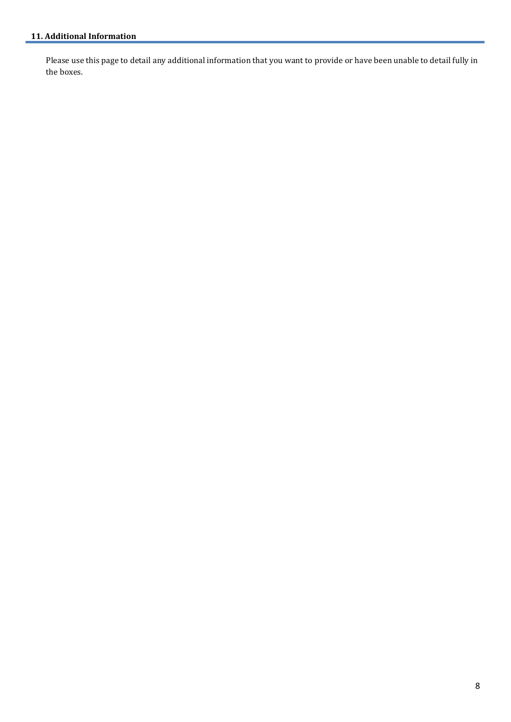Please use this page to detail any additional information that you want to provide or have been unable to detail fully in the boxes.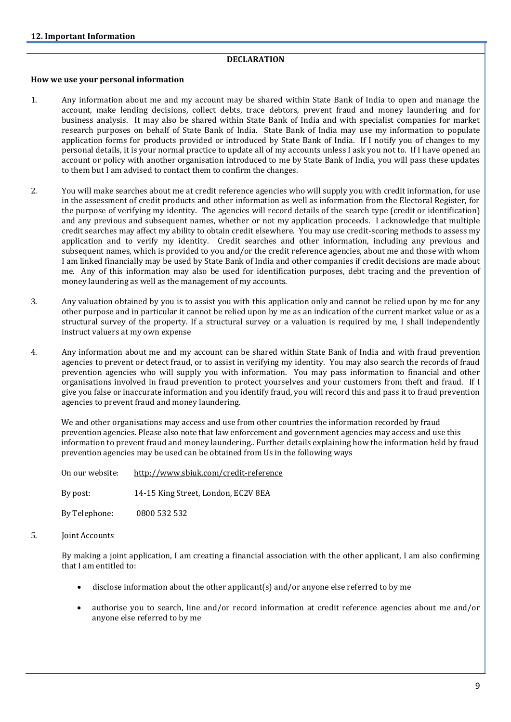### **DECLARATION**

#### **How we use your personal information**

- 1. Any information about me and my account may be shared within State Bank of India to open and manage the account, make lending decisions, collect debts, trace debtors, prevent fraud and money laundering and for business analysis. It may also be shared within State Bank of India and with specialist companies for market research purposes on behalf of State Bank of India. State Bank of India may use my information to populate application forms for products provided or introduced by State Bank of India. If I notify you of changes to my personal details, it is your normal practice to update all of my accounts unless I ask you not to. If I have opened an account or policy with another organisation introduced to me by State Bank of India, you will pass these updates to them but I am advised to contact them to confirm the changes.
- 2. You will make searches about me at credit reference agencies who will supply you with credit information, for use in the assessment of credit products and other information as well as information from the Electoral Register, for the purpose of verifying my identity. The agencies will record details of the search type (credit or identification) and any previous and subsequent names, whether or not my application proceeds. I acknowledge that multiple credit searches may affect my ability to obtain credit elsewhere. You may use credit-scoring methods to assess my application and to verify my identity. Credit searches and other information, including any previous and subsequent names, which is provided to you and/or the credit reference agencies, about me and those with whom I am linked financially may be used by State Bank of India and other companies if credit decisions are made about me. Any of this information may also be used for identification purposes, debt tracing and the prevention of money laundering as well as the management of my accounts.
- 3. Any valuation obtained by you is to assist you with this application only and cannot be relied upon by me for any other purpose and in particular it cannot be relied upon by me as an indication of the current market value or as a structural survey of the property. If a structural survey or a valuation is required by me, I shall independently instruct valuers at my own expense
- 4. Any information about me and my account can be shared within State Bank of India and with fraud prevention agencies to prevent or detect fraud, or to assist in verifying my identity. You may also search the records of fraud prevention agencies who will supply you with information. You may pass information to financial and other organisations involved in fraud prevention to protect yourselves and your customers from theft and fraud. If I give you false or inaccurate information and you identify fraud, you will record this and pass it to fraud prevention agencies to prevent fraud and money laundering.

We and other organisations may access and use from other countries the information recorded by fraud prevention agencies. Please also note that law enforcement and government agencies may access and use this information to prevent fraud and money laundering.. Further details explaining how the information held by fraud prevention agencies may be used can be obtained from Us in the following ways

| On our website: | http://www.sbiuk.com/credit-reference |
|-----------------|---------------------------------------|
| By post:        | 14-15 King Street, London, EC2V 8EA   |
| By Telephone:   | 0800 532 532                          |

5. Joint Accounts

By making a joint application, I am creating a financial association with the other applicant, I am also confirming that I am entitled to:

- disclose information about the other applicant(s) and/or anyone else referred to by me
- authorise you to search, line and/or record information at credit reference agencies about me and/or anyone else referred to by me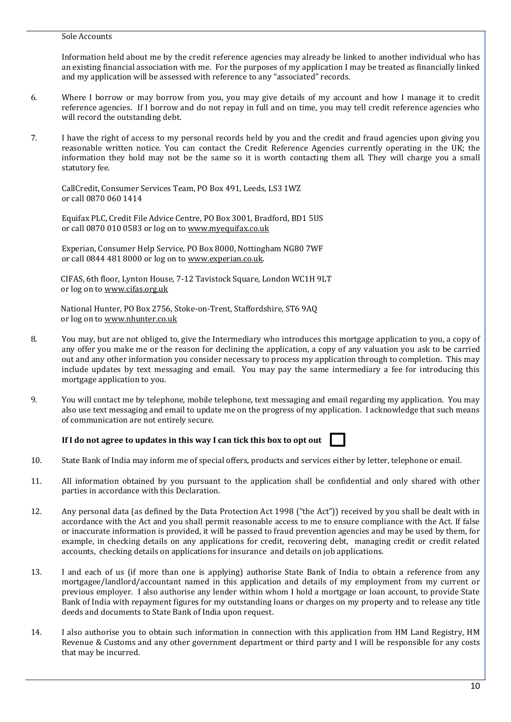#### Sole Accounts

Information held about me by the credit reference agencies may already be linked to another individual who has an existing financial association with me. For the purposes of my application I may be treated as financially linked and my application will be assessed with reference to any "associated" records.

- 6. Where I borrow or may borrow from you, you may give details of my account and how I manage it to credit reference agencies. If I borrow and do not repay in full and on time, you may tell credit reference agencies who will record the outstanding debt.
- 7. I have the right of access to my personal records held by you and the credit and fraud agencies upon giving you reasonable written notice. You can contact the Credit Reference Agencies currently operating in the UK; the information they hold may not be the same so it is worth contacting them all. They will charge you a small statutory fee.

CallCredit, Consumer Services Team, PO Box 491, Leeds, LS3 1WZ or call 0870 060 1414

Equifax PLC, Credit File Advice Centre, PO Box 3001, Bradford, BD1 5US or call 0870 010 0583 or log on to [www.myequifax.co.uk](http://www.myequifax.co.uk/)

Experian, Consumer Help Service, PO Box 8000, Nottingham NG80 7WF or call 0844 481 8000 or log on to [www.experian.co.uk.](http://www.experian.co.uk/) 

 CIFAS, 6th floor, Lynton House, 7-12 Tavistock Square, London WC1H 9LT or log on to www.cifas.org.uk

 National Hunter, PO Box 2756, Stoke-on-Trent, Staffordshire, ST6 9AQ or log on to www.nhunter.co.uk

- 8. You may, but are not obliged to, give the Intermediary who introduces this mortgage application to you, a copy of any offer you make me or the reason for declining the application, a copy of any valuation you ask to be carried out and any other information you consider necessary to process my application through to completion. This may include updates by text messaging and email. You may pay the same intermediary a fee for introducing this mortgage application to you.
- 9. You will contact me by telephone, mobile telephone, text messaging and email regarding my application. You may also use text messaging and email to update me on the progress of my application. I acknowledge that such means of communication are not entirely secure.

### **If I do not agree to updates in this way I can tick this box to opt out**

- 10. State Bank of India may inform me of special offers, products and services either by letter, telephone or email.
- 11. All information obtained by you pursuant to the application shall be confidential and only shared with other parties in accordance with this Declaration.
- 12. Any personal data (as defined by the Data Protection Act 1998 ("the Act")) received by you shall be dealt with in accordance with the Act and you shall permit reasonable access to me to ensure compliance with the Act. If false or inaccurate information is provided, it will be passed to fraud prevention agencies and may be used by them, for example, in checking details on any applications for credit, recovering debt, managing credit or credit related accounts, checking details on applications for insurance and details on job applications.
- 13. I and each of us (if more than one is applying) authorise State Bank of India to obtain a reference from any mortgagee/landlord/accountant named in this application and details of my employment from my current or previous employer. I also authorise any lender within whom I hold a mortgage or loan account, to provide State Bank of India with repayment figures for my outstanding loans or charges on my property and to release any title deeds and documents to State Bank of India upon request.
- 14. I also authorise you to obtain such information in connection with this application from HM Land Registry, HM Revenue & Customs and any other government department or third party and I will be responsible for any costs that may be incurred.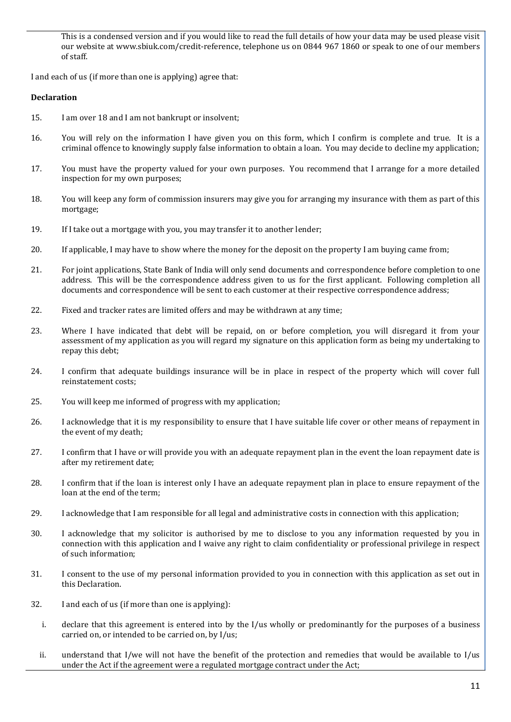This is a condensed version and if you would like to read the full details of how your data may be used please visit our website at [www.sbiuk.com/credit-reference,](http://www.sbiuk.com/credit-reference) telephone us on 0844 967 1860 or speak to one of our members of staff.

I and each of us (if more than one is applying) agree that:

### **Declaration**

- 15. I am over 18 and I am not bankrupt or insolvent;
- 16. You will rely on the information I have given you on this form, which I confirm is complete and true. It is a criminal offence to knowingly supply false information to obtain a loan. You may decide to decline my application;
- 17. You must have the property valued for your own purposes. You recommend that I arrange for a more detailed inspection for my own purposes;
- 18. You will keep any form of commission insurers may give you for arranging my insurance with them as part of this mortgage;
- 19. If I take out a mortgage with you, you may transfer it to another lender;
- 20. If applicable, I may have to show where the money for the deposit on the property I am buying came from;
- 21. For joint applications, State Bank of India will only send documents and correspondence before completion to one address. This will be the correspondence address given to us for the first applicant. Following completion all documents and correspondence will be sent to each customer at their respective correspondence address;
- 22. Fixed and tracker rates are limited offers and may be withdrawn at any time;
- 23. Where I have indicated that debt will be repaid, on or before completion, you will disregard it from your assessment of my application as you will regard my signature on this application form as being my undertaking to repay this debt;
- 24. I confirm that adequate buildings insurance will be in place in respect of the property which will cover full reinstatement costs;
- 25. You will keep me informed of progress with my application;
- 26. I acknowledge that it is my responsibility to ensure that I have suitable life cover or other means of repayment in the event of my death;
- 27. I confirm that I have or will provide you with an adequate repayment plan in the event the loan repayment date is after my retirement date;
- 28. I confirm that if the loan is interest only I have an adequate repayment plan in place to ensure repayment of the loan at the end of the term;
- 29. I acknowledge that I am responsible for all legal and administrative costs in connection with this application;
- 30. I acknowledge that my solicitor is authorised by me to disclose to you any information requested by you in connection with this application and I waive any right to claim confidentiality or professional privilege in respect of such information;
- 31. I consent to the use of my personal information provided to you in connection with this application as set out in this Declaration.
- 32. I and each of us (if more than one is applying):
	- i. declare that this agreement is entered into by the I/us wholly or predominantly for the purposes of a business carried on, or intended to be carried on, by I/us;
	- ii. understand that I/we will not have the benefit of the protection and remedies that would be available to I/us under the Act if the agreement were a regulated mortgage contract under the Act;